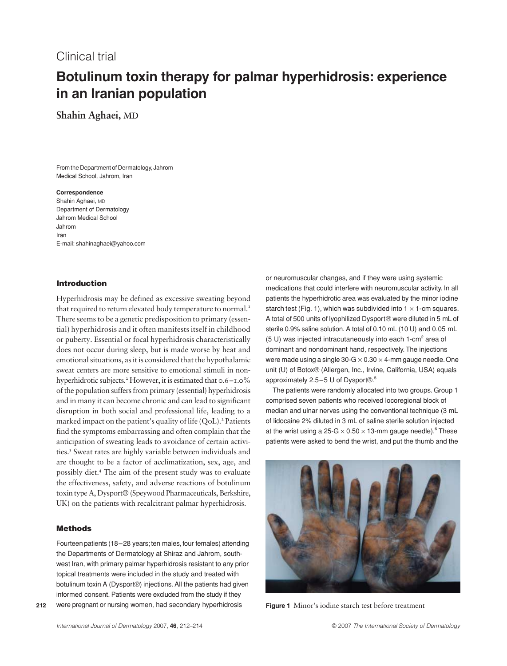## Clinical trial

# Botulinum toxin therapy for palmar hyperhidrosis: experience **in an Iranian population**

**Shahin Aghaei, MD**

From the Department of Dermatology, Jahrom Medical School, Jahrom, Iran

#### **Correspondence**

Shahin Aghaei, MD Department of Dermatology Jahrom Medical School Jahrom Iran E-mail: shahinaghaei@yahoo.com

### **Introduction**

Hyperhidrosis may be defined as excessive sweating beyond that required to return elevated body temperature to normal.<sup>1</sup> There seems to be a genetic predisposition to primary (essential) hyperhidrosis and it often manifests itself in childhood or puberty. Essential or focal hyperhidrosis characteristically does not occur during sleep, but is made worse by heat and emotional situations, as it is considered that the hypothalamic sweat centers are more sensitive to emotional stimuli in nonhyperhidrotic subjects.<sup>2</sup> However, it is estimated that  $0.6 - 1.0\%$ of the population suffers from primary (essential) hyperhidrosis and in many it can become chronic and can lead to significant disruption in both social and professional life, leading to a marked impact on the patient's quality of life  $(QoL)$ .<sup>2</sup> Patients find the symptoms embarrassing and often complain that the anticipation of sweating leads to avoidance of certain activities.<sup>3</sup> Sweat rates are highly variable between individuals and are thought to be a factor of acclimatization, sex, age, and possibly diet.4 The aim of the present study was to evaluate the effectiveness, safety, and adverse reactions of botulinum toxin type A, Dysport® (Speywood Pharmaceuticals, Berkshire, UK) on the patients with recalcitrant palmar hyperhidrosis.

### **Methods**

**212**

Fourteen patients (18–28 years; ten males, four females) attending the Departments of Dermatology at Shiraz and Jahrom, southwest Iran, with primary palmar hyperhidrosis resistant to any prior topical treatments were included in the study and treated with botulinum toxin A (Dysport®) injections. All the patients had given informed consent. Patients were excluded from the study if they were pregnant or nursing women, had secondary hyperhidrosis

or neuromuscular changes, and if they were using systemic medications that could interfere with neuromuscular activity. In all patients the hyperhidrotic area was evaluated by the minor iodine starch test (Fig. 1), which was subdivided into  $1 \times 1$ -cm squares. A total of 500 units of lyophilized Dysport® were diluted in 5 mL of sterile 0.9% saline solution. A total of 0.10 mL (10 U) and 0.05 mL  $(5 U)$  was injected intracutaneously into each 1-cm<sup>2</sup> area of dominant and nondominant hand, respectively. The injections were made using a single  $30\text{-}G \times 0.30 \times 4$ -mm gauge needle. One unit (U) of Botox® (Allergen, Inc., Irvine, California, USA) equals approximately 2.5–5 U of Dysport®.<sup>5</sup>

The patients were randomly allocated into two groups. Group 1 comprised seven patients who received locoregional block of median and ulnar nerves using the conventional technique (3 mL of lidocaine 2% diluted in 3 mL of saline sterile solution injected at the wrist using a 25-G  $\times$  0.50  $\times$  13-mm gauge needle).<sup>6</sup> These patients were asked to bend the wrist, and put the thumb and the



**Figure 1** Minor's iodine starch test before treatment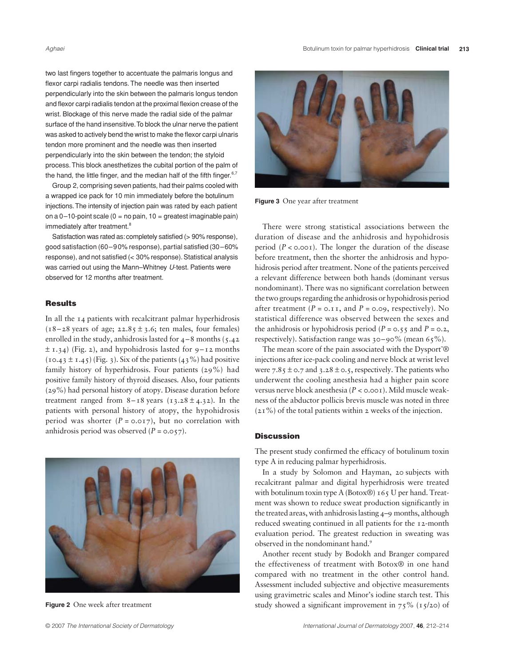two last fingers together to accentuate the palmaris longus and flexor carpi radialis tendons. The needle was then inserted perpendicularly into the skin between the palmaris longus tendon and flexor carpi radialis tendon at the proximal flexion crease of the wrist. Blockage of this nerve made the radial side of the palmar surface of the hand insensitive. To block the ulnar nerve the patient was asked to actively bend the wrist to make the flexor carpi ulnaris tendon more prominent and the needle was then inserted perpendicularly into the skin between the tendon; the styloid process. This block anesthetizes the cubital portion of the palm of the hand, the little finger, and the median half of the fifth finger. $6,7$ 

Group 2, comprising seven patients, had their palms cooled with a wrapped ice pack for 10 min immediately before the botulinum injections. The intensity of injection pain was rated by each patient on a  $0-10$ -point scale ( $0 =$  no pain,  $10 =$  greatest imaginable pain) immediately after treatment.<sup>8</sup>

Satisfaction was rated as: completely satisfied (> 90% response), good satisfaction (60–90% response), partial satisfied (30–60% response), and not satisfied (< 30% response). Statistical analysis was carried out using the Mann–Whitney *U*-test. Patients were observed for 12 months after treatment.

#### **Results**

In all the 14 patients with recalcitrant palmar hyperhidrosis  $(18-28 \text{ years of age}; 22.85 \pm 3.6; \text{ ten males}, \text{four females})$ enrolled in the study, anhidrosis lasted for  $4-8$  months (5.42)  $\pm$  1.34) (Fig. 2), and hypohidrosis lasted for 9–12 months  $(10.43 \pm 1.45)$  (Fig. 3). Six of the patients  $(43\%)$  had positive family history of hyperhidrosis. Four patients (29%) had positive family history of thyroid diseases. Also, four patients (29%) had personal history of atopy. Disease duration before treatment ranged from  $8-18$  years  $(13.28 \pm 4.32)$ . In the patients with personal history of atopy, the hypohidrosis period was shorter  $(P = 0.017)$ , but no correlation with anhidrosis period was observed (*P =* 0.057).



In a study by Solomon and Hayman, 20 subjects with recalcitrant palmar and digital hyperhidrosis were treated with botulinum toxin type A (Botox®) 165 U per hand. Treatment was shown to reduce sweat production significantly in the treated areas, with anhidrosis lasting 4–9 months, although reduced sweating continued in all patients for the 12-month evaluation period. The greatest reduction in sweating was observed in the nondominant hand.<sup>9</sup>

Another recent study by Bodokh and Branger compared the effectiveness of treatment with Botox® in one hand compared with no treatment in the other control hand. Assessment included subjective and objective measurements using gravimetric scales and Minor's iodine starch test. This **Figure 2** One week after treatment study showed a significant improvement in  $75\%$  ( $15/20$ ) of







**Figure 3** One year after treatment

There were strong statistical associations between the duration of disease and the anhidrosis and hypohidrosis period  $(P < 0.001)$ . The longer the duration of the disease before treatment, then the shorter the anhidrosis and hypohidrosis period after treatment. None of the patients perceived a relevant difference between both hands (dominant versus nondominant). There was no significant correlation between the two groups regarding the anhidrosis or hypohidrosis period after treatment  $(P = 0.11$ , and  $P = 0.09$ , respectively). No statistical difference was observed between the sexes and the anhidrosis or hypohidrosis period ( $P = 0.55$  and  $P = 0.2$ , respectively). Satisfaction range was 30–90% (mean 65%).

The mean score of the pain associated with the Dysport® injections after ice-pack cooling and nerve block at wrist level were 7.85  $\pm$  0.7 and 3.28  $\pm$  0.5, respectively. The patients who underwent the cooling anesthesia had a higher pain score versus nerve block anesthesia (*P <* 0.001). Mild muscle weakness of the abductor pollicis brevis muscle was noted in three (21%) of the total patients within 2 weeks of the injection.

#### **Discussion**